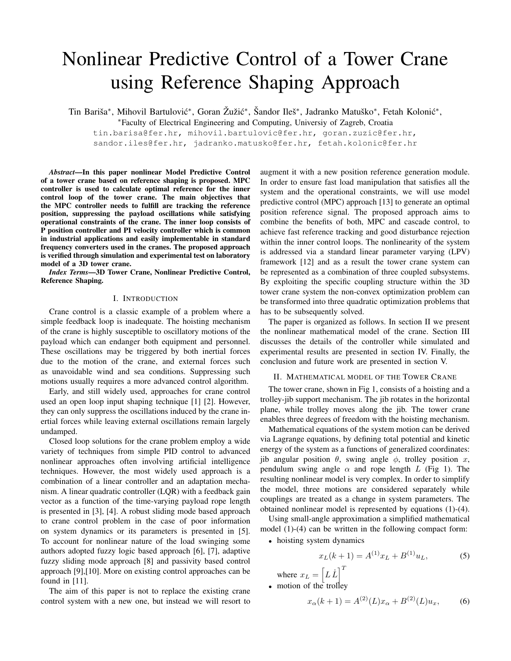# Nonlinear Predictive Control of a Tower Crane using Reference Shaping Approach

Tin Bariša\*, Mihovil Bartulović\*, Goran Žužić\*, Šandor Ileš\*, Jadranko Matuško\*, Fetah Kolonić\*, <sup>∗</sup>Faculty of Electrical Engineering and Computing, Universiy of Zagreb, Croatia

tin.barisa@fer.hr, mihovil.bartulovic@fer.hr, goran.zuzic@fer.hr,

sandor.iles@fer.hr, jadranko.matusko@fer.hr, fetah.kolonic@fer.hr

*Abstract*—In this paper nonlinear Model Predictive Control of a tower crane based on reference shaping is proposed. MPC controller is used to calculate optimal reference for the inner control loop of the tower crane. The main objectives that the MPC controller needs to fulfill are tracking the reference position, suppressing the payload oscillations while satisfying operational constraints of the crane. The inner loop consists of P position controller and PI velocity controller which is common in industrial applications and easily implementable in standard frequency converters used in the cranes. The proposed approach is verified through simulation and experimental test on laboratory model of a 3D tower crane.

*Index Terms*—3D Tower Crane, Nonlinear Predictive Control, Reference Shaping.

## I. INTRODUCTION

Crane control is a classic example of a problem where a simple feedback loop is inadequate. The hoisting mechanism of the crane is highly susceptible to oscillatory motions of the payload which can endanger both equipment and personnel. These oscillations may be triggered by both inertial forces due to the motion of the crane, and external forces such as unavoidable wind and sea conditions. Suppressing such motions usually requires a more advanced control algorithm.

Early, and still widely used, approaches for crane control used an open loop input shaping technique [1] [2]. However, they can only suppress the oscillations induced by the crane inertial forces while leaving external oscillations remain largely undamped.

Closed loop solutions for the crane problem employ a wide variety of techniques from simple PID control to advanced nonlinear approaches often involving artificial intelligence techniques. However, the most widely used approach is a combination of a linear controller and an adaptation mechanism. A linear quadratic controller (LQR) with a feedback gain vector as a function of the time-varying payload rope length is presented in [3], [4]. A robust sliding mode based approach to crane control problem in the case of poor information on system dynamics or its parameters is presented in [5]. To account for nonlinear nature of the load swinging some authors adopted fuzzy logic based approach [6], [7], adaptive fuzzy sliding mode approach [8] and passivity based control approach [9],[10]. More on existing control approaches can be found in [11].

The aim of this paper is not to replace the existing crane control system with a new one, but instead we will resort to

augment it with a new position reference generation module. In order to ensure fast load manipulation that satisfies all the system and the operational constraints, we will use model predictive control (MPC) approach [13] to generate an optimal position reference signal. The proposed approach aims to combine the benefits of both, MPC and cascade control, to achieve fast reference tracking and good disturbance rejection within the inner control loops. The nonlinearity of the system is addressed via a standard linear parameter varying (LPV) framework [12] and as a result the tower crane system can be represented as a combination of three coupled subsystems. By exploiting the specific coupling structure within the 3D tower crane system the non-convex optimization problem can be transformed into three quadratic optimization problems that has to be subsequently solved.

The paper is organized as follows. In section II we present the nonlinear mathematical model of the crane. Section III discusses the details of the controller while simulated and experimental results are presented in section IV. Finally, the conclusion and future work are presented in section V.

#### II. MATHEMATICAL MODEL OF THE TOWER CRANE

The tower crane, shown in Fig 1, consists of a hoisting and a trolley-jib support mechanism. The jib rotates in the horizontal plane, while trolley moves along the jib. The tower crane enables three degrees of freedom with the hoisting mechanism.

Mathematical equations of the system motion can be derived via Lagrange equations, by defining total potential and kinetic energy of the system as a functions of generalized coordinates: jib angular position  $\theta$ , swing angle  $\phi$ , trolley position x, pendulum swing angle  $\alpha$  and rope length L (Fig 1). The resulting nonlinear model is very complex. In order to simplify the model, three motions are considered separately while couplings are treated as a change in system parameters. The obtained nonlinear model is represented by equations (1)-(4).

Using small-angle approximation a simplified mathematical model (1)-(4) can be written in the following compact form:

• hoisting system dynamics

$$
x_L(k+1) = A^{(1)}x_L + B^{(1)}u_L, \tag{5}
$$

where  $x_L = \left[L \dot{L}\right]^T$ 

• motion of the trolley

$$
x_{\alpha}(k+1) = A^{(2)}(L)x_{\alpha} + B^{(2)}(L)u_x, \qquad (6)
$$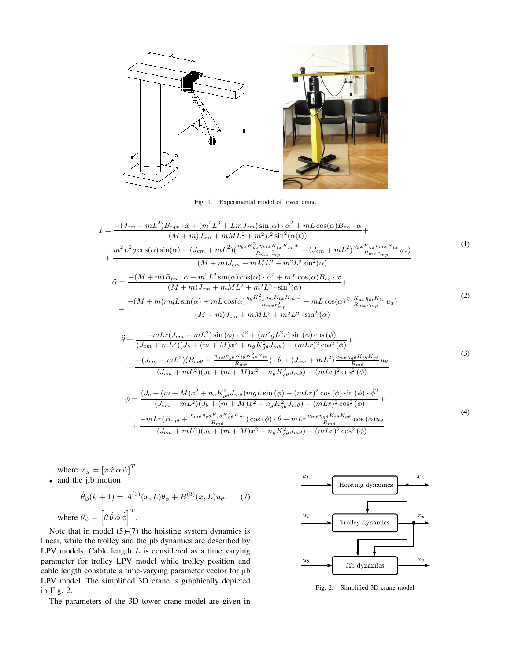

Fig. 1. Experimental model of tower crane

$$
\ddot{x} = \frac{-(J_{cm} + mL^{2})B_{eqx} \cdot \dot{x} + (m^{2}L^{3} + LmJ_{cm})\sin(\alpha) \cdot \dot{\alpha}^{2} + mL\cos(\alpha)B_{p\alpha} \cdot \dot{\alpha}}{(M+m)J_{cm} + mML^{2} + m^{2}L^{2}\sin^{2}(\alpha(t))} + \frac{m^{2}L^{2}g\cos(\alpha)\sin(\alpha) - (J_{cm} + mL^{2})(\frac{\eta_{gx}K_{gx}^{2}\eta_{mx}K_{tx}K_{m}\cdot\dot{x}}{R_{mx}x_{np}^{2}} + (J_{cm} + mL^{2})\frac{\eta_{gx}K_{gx}^{2}\eta_{mx}K_{tx}}{R_{mx}x_{np}}u_{x})}{(M+m)J_{cm} + mML^{2} + m^{2}L^{2}\sin^{2}(\alpha)}
$$
\n
$$
\ddot{\alpha} = \frac{-(M+m)B_{p\alpha} \cdot \dot{\alpha} - m^{2}L^{2}\sin(\alpha)\cos(\alpha) \cdot \dot{\alpha}^{2} + mL\cos(\alpha)B_{eq} \cdot \dot{x}}{(M+m)J_{cm} + mML^{2} + m^{2}L^{2} \cdot \sin^{2}(\alpha)} + \frac{-(M+m)mgL\sin(\alpha) + mL\cos(\alpha)\frac{\eta_{g}K_{gx}^{2}\eta_{m}K_{tx}K_{m}\cdot\dot{x}}{R_{mx}x_{np}^{2}} - mL\cos(\alpha)\frac{\eta_{g}K_{gx}^{2}\eta_{m}K_{tx}}{R_{mx}x_{mp}^{2}}u_{x})}{(M+m)J_{cm} + mML^{2} + m^{2}L^{2} \cdot \sin^{2}(\alpha)}
$$
\n(2)

$$
\ddot{\theta} = \frac{-mLr(J_{cm} + mL^2)\sin(\phi) \cdot \dot{\phi}^2 + (m^2gL^2r)\sin(\phi)\cos(\phi)}{(J_{cm} + mL^2)(J_b + (m + M)x^2 + n_gK_{g\theta}^2J_{m\theta}) - (mLr)^2\cos^2(\phi)} + \frac{-(J_{cm} + mL^2)(B_{eq\theta} + \frac{\eta_{m\theta}\eta_{g\theta}K_{t\theta}K_{g\theta}^2K_m}{R_{m\theta}}) \cdot \dot{\theta} + (J_{cm} + mL^2)\frac{\eta_{m\theta}\eta_{g\theta}K_{t\theta}K_{g\theta}}{R_{m\theta}}u_{\theta}}{(J_{cm} + mL^2)(J_b + (m + M)x^2 + n_gK_{g\theta}^2J_{m\theta}) - (mLr)^2\cos^2(\phi)}
$$
\n(3)

$$
\ddot{\phi} = \frac{(J_b + (m + M)x^2 + n_g K_{g\theta}^2 J_{m\theta}) mgL \sin(\phi) - (mLr)^2 \cos(\phi) \sin(\phi) \cdot \dot{\phi}^2}{(J_{cm} + mL^2)(J_b + (m + M)x^2 + n_g K_{g\theta}^2 J_{m\theta}) - (mLr)^2 \cos^2(\phi)} + \frac{-mLr(B_{eq\theta} + \frac{n_{m\theta}n_{g\theta}K_{t\theta}K_{g\theta}^2 K_m}{R_{m\theta}}) \cos(\phi) \cdot \dot{\theta} + mLr \frac{n_{m\theta}n_{g\theta}K_{t\theta}K_{g\theta}}{R_{m\theta}} \cos(\phi)u_{\theta}}{(J_{cm} + mL^2)(J_b + (m + M)x^2 + n_g K_{g\theta}^2 J_{m\theta}) - (mLr)^2 \cos^2(\phi)}
$$
\n(4)

where  $x_{\alpha} = [x \dot{x} \alpha \dot{\alpha}]^T$ 

• and the jib motion

$$
\dot{\theta}_{\phi}(k+1) = A^{(3)}(x, L)\theta_{\phi} + B^{(3)}(x, L)u_{\theta}, \quad (7)
$$
  
where  $\theta_{\phi} = \left[\theta \dot{\theta} \phi \dot{\phi}\right]^{T}$ .

Note that in model (5)-(7) the hoisting system dynamics is linear, while the trolley and the jib dynamics are described by LPV models. Cable length  $L$  is considered as a time varying parameter for trolley LPV model while trolley position and cable length constitute a time-varying parameter vector for jib LPV model. The simplified 3D crane is graphically depicted in Fig. 2.

The parameters of the 3D tower crane model are given in



Fig. 2. Simplified 3D crane model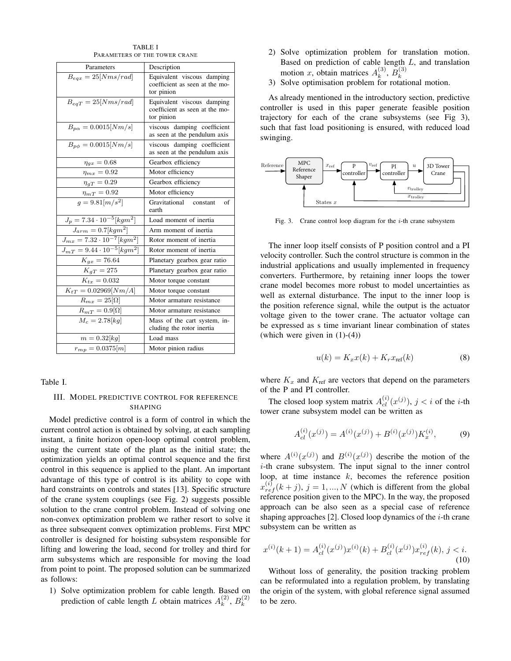| Parameters                                       | Description                                                                |
|--------------------------------------------------|----------------------------------------------------------------------------|
| $B_{ear} = 25[Nms/rad]$                          | Equivalent viscous damping<br>coefficient as seen at the mo-               |
|                                                  | tor pinion                                                                 |
| $B_{eqT} = 25[Nms/rad]$                          | Equivalent viscous damping<br>coefficient as seen at the mo-<br>tor pinion |
| $B_{p\alpha} = 0.0015[Nm/s]$                     | viscous damping coefficient<br>as seen at the pendulum axis                |
| $B_{p\phi} = 0.0015[Nm/s]$                       | viscous damping coefficient<br>as seen at the pendulum axis                |
| $\eta_{gx}=0.68$                                 | Gearbox efficiency                                                         |
| $\eta_{mx} = 0.92$                               | Motor efficiency                                                           |
| $\eta_{qT} = 0.29$                               | Gearbox efficiency                                                         |
| $\eta_{mT}=0.92$                                 | Motor efficiency                                                           |
| $g = 9.81 [m/s^2]$                               | Gravitational<br>οf<br>constant<br>earth                                   |
| $J_p = 7.34 \cdot 10^{-5} [kgm^2]$               | Load moment of inertia                                                     |
| $J_{arm} = 0.7[kqm^2]$                           | Arm moment of inertia                                                      |
| $\overline{J_{mx}} = 7.32 \cdot 10^{-7} [kgm^2]$ | Rotor moment of inertia                                                    |
| $J_{mT} = 9.44 \cdot 10^{-5} [kgm^2]$            | Rotor moment of inertia                                                    |
| $K_{gx} = 76.64$                                 | Planetary gearbox gear ratio                                               |
| $K_{qT} = 275$                                   | Planetary gearbox gear ratio                                               |
| $K_{tx} = 0.032$                                 | Motor torque constant                                                      |
| $K_{tT} = 0.02969[Nm/A]$                         | Motor torque constant                                                      |
| $R_{mx} = 25[\Omega]$                            | Motor armature resistance                                                  |
| $R_{mT} = 0.9[\Omega]$                           | Motor armature resistance                                                  |
| $M_c = 2.78 [kg]$                                | Mass of the cart system, in-<br>cluding the rotor inertia                  |
| $m = 0.32[kg]$                                   | Load mass                                                                  |
| $r_{mp} = 0.0375[m]$                             | Motor pinion radius                                                        |

TABLE I PARAMETERS OF THE TOWER CRANE

Table I.

## III. MODEL PREDICTIVE CONTROL FOR REFERENCE SHAPING

Model predictive control is a form of control in which the current control action is obtained by solving, at each sampling instant, a finite horizon open-loop optimal control problem, using the current state of the plant as the initial state; the optimization yields an optimal control sequence and the first control in this sequence is applied to the plant. An important advantage of this type of control is its ability to cope with hard constraints on controls and states [13]. Specific structure of the crane system couplings (see Fig. 2) suggests possible solution to the crane control problem. Instead of solving one non-convex optimization problem we rather resort to solve it as three subsequent convex optimization problems. First MPC controller is designed for hoisting subsystem responsible for lifting and lowering the load, second for trolley and third for arm subsystems which are responsible for moving the load from point to point. The proposed solution can be summarized as follows:

1) Solve optimization problem for cable length. Based on prediction of cable length L obtain matrices  $A_k^{(2)}$ ,  $B_k^{(2)}$ 

- 2) Solve optimization problem for translation motion. Based on prediction of cable length  $L$ , and translation motion x, obtain matrices  $A_k^{(3)}$ ,  $B_k^{(3)}$
- 3) Solve optimisation problem for rotational motion.

As already mentioned in the introductory section, predictive controller is used in this paper generate feasible position trajectory for each of the crane subsystems (see Fig 3), such that fast load positioning is ensured, with reduced load swinging.



Fig. 3. Crane control loop diagram for the  $i$ -th crane subsystem

The inner loop itself consists of P position control and a PI velocity controller. Such the control structure is common in the industrial applications and usually implemented in frequency converters. Furthermore, by retaining inner loops the tower crane model becomes more robust to model uncertainties as well as external disturbance. The input to the inner loop is the position reference signal, while the output is the actuator voltage given to the tower crane. The actuator voltage can be expressed as s time invariant linear combination of states (which were given in  $(1)-(4)$ )

$$
u(k) = K_x x(k) + K_r x_{\text{ref}}(k)
$$
\n(8)

where  $K_x$  and  $K_{\text{ref}}$  are vectors that depend on the parameters of the P and PI controller.

The closed loop system matrix  $A_{cl}^{(i)}(x^{(j)}), j < i$  of the *i*-th tower crane subsystem model can be written as

$$
A_{cl}^{(i)}(x^{(j)}) = A^{(i)}(x^{(j)}) + B^{(i)}(x^{(j)})K_x^{(i)},
$$
(9)

where  $A^{(i)}(x^{(j)})$  and  $B^{(i)}(x^{(j)})$  describe the motion of the  $i$ -th crane subsystem. The input signal to the inner control loop, at time instance  $k$ , becomes the reference position  $x_{ref}^{(i)}(k+j)$ ,  $j = 1, ..., N$  (which is different from the global reference position given to the MPC). In the way, the proposed approach can be also seen as a special case of reference shaping approaches  $[2]$ . Closed loop dynamics of the *i*-th crane subsystem can be written as

$$
x^{(i)}(k+1) = A_{cl}^{(i)}(x^{(j)})x^{(i)}(k) + B_{cl}^{(i)}(x^{(j)})x_{ref}^{(i)}(k), \ j < i. \tag{10}
$$

Without loss of generality, the position tracking problem can be reformulated into a regulation problem, by translating the origin of the system, with global reference signal assumed to be zero.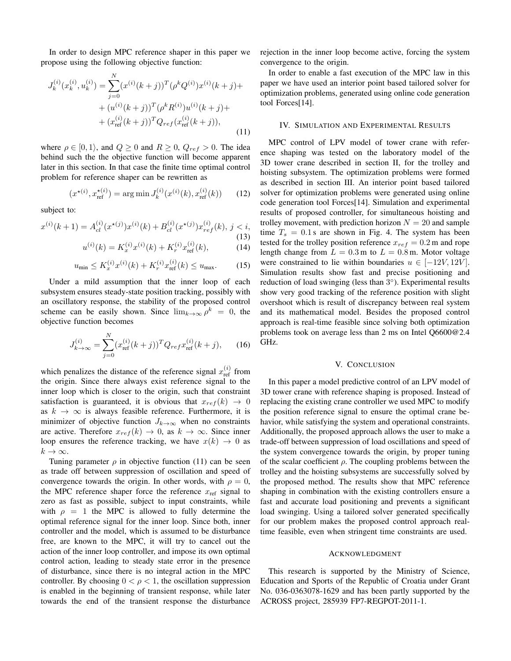In order to design MPC reference shaper in this paper we propose using the following objective function:

$$
J_k^{(i)}(x_k^{(i)}, u_k^{(i)}) = \sum_{j=0}^N (x^{(i)}(k+j))^T (\rho^k Q^{(i)}) x^{(i)}(k+j) + (u^{(i)}(k+j))^T (\rho^k R^{(i)}) u^{(i)}(k+j) + (x_{\text{ref}}^{(i)}(k+j))^T Q_{ref}(x_{\text{ref}}^{(i)}(k+j)),
$$
\n(11)

where  $\rho \in [0, 1)$ , and  $Q \ge 0$  and  $R \ge 0$ ,  $Q_{ref} > 0$ . The idea behind such the the objective function will become apparent later in this section. In that case the finite time optimal control problem for reference shaper can be rewritten as

$$
(x^{\star(i)}, x_{\text{ref}}^{\star(i)}) = \arg\min J_k^{(i)}(x^{(i)}(k), x_{\text{ref}}^{(i)}(k)) \tag{12}
$$

subject to:

$$
x^{(i)}(k+1) = A_{cl}^{(i)}(x^{\star(j)})x^{(i)}(k) + B_{cl}^{(i)}(x^{\star(j)})x_{ref}^{(i)}(k), j < i,
$$
\n(13)

$$
u^{(i)}(k) = K_x^{(i)} x^{(i)}(k) + K_r^{(i)} x_{\text{ref}}^{(i)}(k),\tag{14}
$$

$$
u_{\min} \le K_x^{(i)} x^{(i)}(k) + K_r^{(i)} x_{\text{ref}}^{(i)}(k) \le u_{\max}.
$$
 (15)

Under a mild assumption that the inner loop of each subsystem ensures steady-state position tracking, possibly with an oscillatory response, the stability of the proposed control scheme can be easily shown. Since  $\lim_{k\to\infty} \rho^k = 0$ , the objective function becomes

$$
J_{k \to \infty}^{(i)} = \sum_{j=0}^{N} (x_{\text{ref}}^{(i)}(k+j))^T Q_{ref} x_{\text{ref}}^{(i)}(k+j), \quad (16)
$$

which penalizes the distance of the reference signal  $x_{\text{ref}}^{(i)}$  from the origin. Since there always exist reference signal to the inner loop which is closer to the origin, such that constraint satisfaction is guaranteed, it is obvious that  $x_{ref}(k) \rightarrow 0$ as  $k \to \infty$  is always feasible reference. Furthermore, it is minimizer of objective function  $J_{k\to\infty}$  when no constraints are active. Therefore  $x_{ref}(k) \rightarrow 0$ , as  $k \rightarrow \infty$ . Since inner loop ensures the reference tracking, we have  $x(k) \rightarrow 0$  as  $k \to \infty$ .

Tuning parameter  $\rho$  in objective function (11) can be seen as trade off between suppression of oscillation and speed of convergence towards the origin. In other words, with  $\rho = 0$ , the MPC reference shaper force the reference  $x_{ref}$  signal to zero as fast as possible, subject to input constraints, while with  $\rho = 1$  the MPC is allowed to fully determine the optimal reference signal for the inner loop. Since both, inner controller and the model, which is assumed to be disturbance free, are known to the MPC, it will try to cancel out the action of the inner loop controller, and impose its own optimal control action, leading to steady state error in the presence of disturbance, since there is no integral action in the MPC controller. By choosing  $0 < \rho < 1$ , the oscillation suppression is enabled in the beginning of transient response, while later towards the end of the transient response the disturbance rejection in the inner loop become active, forcing the system convergence to the origin.

In order to enable a fast execution of the MPC law in this paper we have used an interior point based tailored solver for optimization problems, generated using online code generation tool Forces[14].

### IV. SIMULATION AND EXPERIMENTAL RESULTS

MPC control of LPV model of tower crane with reference shaping was tested on the laboratory model of the 3D tower crane described in section II, for the trolley and hoisting subsystem. The optimization problems were formed as described in section III. An interior point based tailored solver for optimization problems were generated using online code generation tool Forces[14]. Simulation and experimental results of proposed controller, for simultaneous hoisting and trolley movement, with prediction horizon  $N = 20$  and sample time  $T_s = 0.1$  s are shown in Fig. 4. The system has been tested for the trolley position reference  $x_{ref} = 0.2$  m and rope length change from  $L = 0.3$  m to  $L = 0.8$  m. Motor voltage were constrained to lie within boundaries  $u \in [-12V, 12V]$ . Simulation results show fast and precise positioning and reduction of load swinging (less than 3°). Experimental results show very good tracking of the reference position with slight overshoot which is result of discrepancy between real system and its mathematical model. Besides the proposed control approach is real-time feasible since solving both optimization problems took on average less than 2 ms on Intel Q6600@2.4 GHz.

#### V. CONCLUSION

In this paper a model predictive control of an LPV model of 3D tower crane with reference shaping is proposed. Instead of replacing the existing crane controller we used MPC to modify the position reference signal to ensure the optimal crane behavior, while satisfying the system and operational constraints. Additionally, the proposed approach allows the user to make a trade-off between suppression of load oscillations and speed of the system convergence towards the origin, by proper tuning of the scalar coefficient  $\rho$ . The coupling problems between the trolley and the hoisting subsystems are successfully solved by the proposed method. The results show that MPC reference shaping in combination with the existing controllers ensure a fast and accurate load positioning and prevents a significant load swinging. Using a tailored solver generated specifically for our problem makes the proposed control approach realtime feasible, even when stringent time constraints are used.

#### ACKNOWLEDGMENT

This research is supported by the Ministry of Science, Education and Sports of the Republic of Croatia under Grant No. 036-0363078-1629 and has been partly supported by the ACROSS project, 285939 FP7-REGPOT-2011-1.